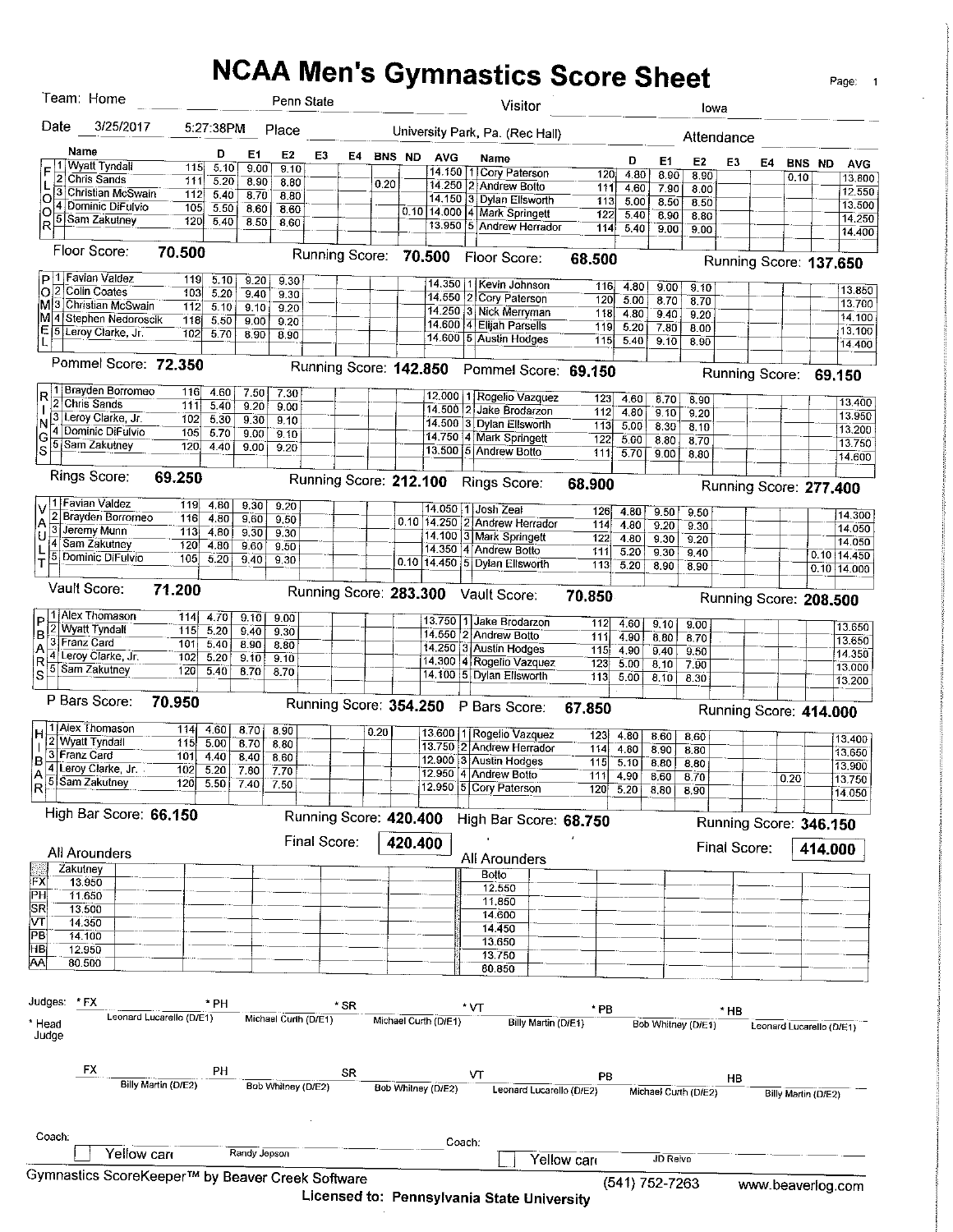# **NCAA Men's Gymnastics Score Sheet**

 $\mathbb{R}^2$ 

Page: 1

|                        | Team: Home                                       |                          |              |              |                    | Penn State             |        |        |         |                      |     | Visitor                                              |            |              |                |                      | lowa                   |                          |                     |         |                  |
|------------------------|--------------------------------------------------|--------------------------|--------------|--------------|--------------------|------------------------|--------|--------|---------|----------------------|-----|------------------------------------------------------|------------|--------------|----------------|----------------------|------------------------|--------------------------|---------------------|---------|------------------|
| Date                   | 3/25/2017                                        |                          | 5:27.38PM    |              | Place              |                        |        |        |         |                      |     | University Park, Pa. (Rec Hall)                      |            |              |                |                      | Attendance             |                          |                     |         |                  |
|                        | Name                                             |                          | D            | E1           | E2                 | E3                     | Ε4     | BNS ND |         | <b>AVG</b>           |     |                                                      |            |              |                |                      |                        |                          |                     |         |                  |
| F                      | <b>Wyatt Tyndall</b>                             | 115                      | 5.10         | 9.00         | 9.10               |                        |        |        |         |                      |     | Name<br>14.150 1 Cory Paterson                       |            | D            | E1             | E <sub>2</sub>       | E3                     | Ε4                       | BNS ND              |         | <b>AVG</b>       |
|                        | Chris Sands                                      | 111                      | 5.20         | 8.90         | 8.80               |                        |        | 0.20   |         | 14.250               |     | 12.<br>Andrew Botto                                  | 120<br>111 | 4.80<br>4.60 | 8.90           | 8.90                 |                        |                          | 0.10                |         | 13,800           |
| O                      | 3 Christian McSwain                              | 112                      | 5.40         | 8.70         | 8.80               |                        |        |        |         | 14.150               |     | Dylan Ellsworth<br>ΙЗ.                               | 113.       | 5.00         | 7,90<br>8.50   | 8.00                 |                        |                          |                     |         | 12.550           |
| O                      | 4 Dominic DiFulvio                               | 105                      | 5.50         | 8.60         | 8.60               |                        |        |        |         | $0.10$   14.000      |     | 4 Mark Springett                                     | 122        | 5.40         | 8.90           | 8.50<br>8.80         |                        |                          |                     |         | 13.500           |
| R                      | 5 Sam Zakutney                                   | 120                      | 5.40         | 8.50         | 8.60               |                        |        |        |         |                      |     | 13.950 5 Andrew Herrador                             | 114        | 5.40         | 9.00           | 9.00                 |                        |                          |                     |         | 14.250           |
|                        | Floor Score:                                     | 70.500                   |              |              |                    |                        |        |        |         |                      |     |                                                      |            |              |                |                      |                        |                          |                     |         | 14.400           |
|                        |                                                  |                          |              |              |                    | Running Score:         |        |        |         | 70.500               |     | Floor Score:                                         | 68.500     |              |                |                      | Running Score: 137,650 |                          |                     |         |                  |
|                        | p 1 Favian Valdez<br>O 2 Colin Coates            | 119                      | 5.10         | 9.20         | 9.30               |                        |        |        |         |                      |     | 14.350 11 Kevin Johnson                              | 116        | 4.80         | 9.00           | 9.10                 |                        |                          |                     |         | 13.850           |
|                        | M 3 Christian McSwain                            | 103                      | 5.20         | 9.40         | 9.30               |                        |        |        |         | 14,550               | 12. | Cory Paterson                                        | 120        | 5.00         | 8.70           | 8.70                 |                        |                          |                     |         | 13.700           |
|                        | M 4 Stephen Nedoroscik                           | 112<br>118               | 5.10<br>5.50 | 9,10         | 9.20               |                        | $\sim$ |        |         |                      |     | 14.250 3 Nick Merryman                               | 118        | 4.80         | 9.40           | 9.20                 |                        |                          |                     |         | 14.100           |
| E<br>15                | Leroy Clarke, Jr.                                | 102                      | 5.70         | 9.00<br>8.90 | 9.20<br>8.90       |                        |        |        |         |                      |     | 14.600 4 Elijah Parsells                             | 119        | 5.20         | 7.80           | 8.00                 |                        |                          |                     |         | 13.100           |
|                        |                                                  |                          |              |              |                    |                        |        |        |         |                      |     | 14.600 5 Austin Hodges                               | 115        | 5.40         | 9.10           | 8.90                 |                        |                          |                     |         | 14.400           |
|                        | Pommel Score: 72.350                             |                          |              |              |                    | Running Score: 142.850 |        |        |         |                      |     | Pommel Score: 69.150                                 |            |              |                |                      | Running Score: 69.150  |                          |                     |         |                  |
| R                      | 1   Brayden Borromeo                             | 116                      | 4.60         | 7.50         | 7.30               |                        |        |        |         |                      |     | 12.000   1 Rogelio Vazquez                           | 123        | 4.60         |                |                      |                        |                          |                     |         |                  |
| 2                      | Chris Sands                                      | 111                      | 5.40         | 9.20         | 9.00               |                        |        |        |         |                      |     | 14.500 2 Jake Brodarzon                              | 112        | 4.80         | 8.70<br>9.10   | 8.90<br>9.20         |                        |                          |                     |         | 13,400           |
| N                      | 3 Leroy Clarke, Jr.                              | 102                      | 5.30         | 9.30         | 9.10               |                        |        |        |         |                      |     | 14.500 3 Dylan Ellsworth                             | 113        | 5.00         | 8,30           | 8.10                 |                        |                          |                     |         | 13.950           |
|                        | 4 Dominic DiFulvio                               | 105                      | 5.70         | 9.00         | 9.10               |                        |        |        |         |                      |     | 14.750 4 Mark Springett                              | 122        | 5.00         | 8.80           | 8.70                 |                        |                          |                     |         | 13.200           |
| S                      | 5 Sam Zakutney                                   | 120                      | 4.40         | 9.00         | 9.20               |                        |        |        |         |                      |     | 13.500 5 Andrew Botto                                | 111        | 5.70         | 9.00           | 8.80                 |                        |                          |                     |         | 13.750<br>14.600 |
|                        | <b>Rings Score:</b>                              |                          |              |              |                    |                        |        |        |         |                      |     |                                                      |            |              |                |                      |                        |                          |                     |         |                  |
|                        |                                                  | 69.250                   |              |              |                    | Running Score: 212.100 |        |        |         |                      |     | Rings Score:                                         | 68.900     |              |                |                      | Running Score: 277.400 |                          |                     |         |                  |
|                        | 1 Favian Valdez                                  | 119                      | 4.80         | 9.30         | 9.20               |                        |        |        |         |                      |     | 14.050 1 Josh Zeal                                   | 126        | 4.80         | 9.50           | 9.50                 |                        |                          |                     |         | 14.300           |
|                        | 2 Brayden Borromeo                               | 116                      | 4.80         | 9.60         | 9,50               |                        |        |        |         | $0.10$ 14.250        |     | 2 Andrew Herrador                                    | 114        | 4.80         | 9.20           | 9.30                 |                        |                          |                     |         | 14.050           |
| ΙU                     | Jeremy Munn                                      | 113                      | 4,80         | 9,30         | 9.30               |                        |        |        |         |                      |     | 14.100 3 Mark Springett                              | 122        | 4.80         | 9.30           | 9.20                 |                        |                          |                     |         | 14.050           |
|                        | Sam Zakutney<br>Dominic DiFulvio                 | 120                      | 4,80         | 9.60         | 9.50               |                        |        |        |         |                      |     | 14.350 4 Andrew Botto                                | 111        | 5.20         | 9.30           | 9.40                 |                        |                          |                     |         | 0.10 14.450      |
| T                      |                                                  | 105                      | 5.20         | 9.40         | 9.30               |                        |        |        |         |                      |     | 0.10 14.450 5 Dylan Ellsworth                        | 113        | 5.20         | 8.90           | 8.90                 |                        |                          |                     |         | 0.10 14.000      |
|                        | Vault Score:                                     | 71.200                   |              |              |                    | Running Score: 283.300 |        |        |         |                      |     | Vault Score:                                         | 70.850     |              |                |                      |                        |                          |                     |         |                  |
|                        | 1 Alex Thomason                                  | 114                      |              |              |                    |                        |        |        |         |                      |     |                                                      |            |              |                |                      | Running Score: 208.500 |                          |                     |         |                  |
| Ρ<br>2                 | Wyatt Tyndali                                    | 115                      | 4.70<br>5.20 | 9.10<br>9.40 | 9.00<br>9.30       |                        |        |        |         |                      |     | 13.750 1 Jake Brodarzon                              | 112        | 4.60         | 9.10           | 9.00                 |                        |                          |                     |         | 13.650           |
| B                      | 3 Franz Card                                     | 101                      | 5.40         | 8.90         | 8.80               |                        |        |        |         |                      |     | 14.550 2 Andrew Botto                                | 111        | 4.90         | 8.80           | 8.70                 |                        |                          |                     |         | 13.650           |
| Α                      | 4 Leroy Clarke, Jr.                              | 102                      | 5.20         | 9.10         | 9.10               |                        |        |        |         |                      |     | 14 250 3 Austin Hodges                               | 115        | 4.90         | 9.40           | 9,50                 |                        |                          |                     |         | 14.350           |
| R<br>5<br>S            | Sam Zakutnev                                     | 120                      | 5.40         | 8.70         | 8.70               |                        |        |        |         |                      |     | 14.300 4 Rogelio Vazquez<br>14.100 5 Dylan Ellsworth | 123        | 5.00         | 8,10           | 7.90                 |                        |                          |                     |         | 13.000           |
|                        |                                                  |                          |              |              |                    |                        |        |        |         |                      |     |                                                      | 113        | 5.00         | 8.10           | 8.30                 |                        |                          |                     |         | 13.200           |
|                        | P Bars Score:                                    | 70.950                   |              |              |                    |                        |        |        |         |                      |     | Running Score: 354.250 P Bars Score:                 | 67,850     |              |                |                      | Running Score: 414.000 |                          |                     |         |                  |
|                        | 1 Aiex Thomason                                  | 114                      | 4.60         | 8.70         | 8.90               |                        |        | 0.20   |         |                      |     | 13.600   1   Rogelio Vazquez                         | 123        |              |                |                      |                        |                          |                     |         |                  |
|                        | Wyatt Tyndall                                    | 115                      | 5.00         | 8.70         | 8.80               |                        |        |        |         |                      |     | 13.750 2 Andrew Herrador                             | 114        | 4.80<br>4.80 | 8.60           | 8.60                 |                        |                          |                     |         | 13.400           |
| 3<br>ļΒ                | Franz Card                                       | 101                      | 4.40         | 8.40         | 8.60               |                        |        |        |         |                      |     | 12.900 3 Austin Hodges                               | 115        | 5.10         | 8.90<br>8.80   | 8.80                 |                        |                          |                     |         | 13.650           |
| IA.                    | Leroy Clarke, Jr.                                | 102                      | 5.20         | 7.80         | 7.70               |                        |        |        |         |                      |     | 12.950 4 Andrew Botto                                | 111        | 4.90         | 8.60           | 8.80<br>8.70         |                        |                          |                     |         | 13,900           |
| 5<br>lR.               | Sam Zakutnev                                     | 120                      | 5.50         | 7.40         | 7.50               |                        |        |        |         |                      |     | 12.950 5 Cory Paterson                               | 120        | 5.20         | 8.80           | 8,90                 |                        |                          | 0.20                |         | 13.750<br>14.050 |
|                        | High Bar Score: 66.150                           |                          |              |              |                    |                        |        |        |         |                      |     |                                                      |            |              |                |                      |                        |                          |                     |         |                  |
|                        |                                                  |                          |              |              |                    | Running Score: 420.400 |        |        |         |                      |     | High Bar Score: 68.750                               |            |              |                |                      | Running Score: 346.150 |                          |                     |         |                  |
|                        | <b>All Arounders</b>                             |                          |              |              |                    | Final Score:           |        |        | 420.400 |                      |     |                                                      |            |              |                |                      | Final Score:           |                          |                     | 414.000 |                  |
|                        | Zakutney                                         |                          |              |              |                    |                        |        |        |         |                      |     | All Arounders                                        |            |              |                |                      |                        |                          |                     |         |                  |
| ∤FX                    | 13.950                                           |                          |              |              |                    |                        |        |        |         |                      |     | Botto                                                |            |              |                |                      |                        |                          |                     |         |                  |
| ∣РН                    | 11.650                                           |                          |              |              |                    |                        |        |        |         |                      |     | 12.550                                               |            |              |                |                      |                        |                          |                     |         |                  |
| SR                     | 13.500                                           |                          |              |              |                    |                        |        |        |         |                      |     | 11,850<br>14.600                                     |            |              |                |                      |                        |                          |                     |         |                  |
| $\overline{\text{vr}}$ | 14.350                                           |                          |              |              |                    |                        |        |        |         |                      |     | 14.450                                               |            |              |                |                      |                        |                          |                     |         |                  |
| PB                     | 14.100                                           |                          |              |              |                    |                        |        |        |         |                      |     | 13.650                                               |            |              |                |                      |                        |                          |                     |         |                  |
| HB                     | 12.950                                           |                          |              |              |                    |                        |        |        |         |                      |     | 13.750                                               |            |              |                |                      |                        |                          |                     |         |                  |
| AA                     | 80.500                                           |                          |              |              |                    |                        |        |        |         |                      |     | 80.850                                               |            |              |                |                      |                        |                          |                     |         |                  |
|                        |                                                  |                          |              |              |                    |                        |        |        |         |                      |     |                                                      |            |              |                |                      |                        |                          |                     |         |                  |
| Judges: *FX            |                                                  | Leonard Lucarello (D/E1) | * PH         |              |                    | Michael Curth (D/E1)   | * SR   |        |         |                      |     | "VT                                                  | * PB       |              |                |                      | * HB                   |                          |                     |         |                  |
| * Head<br>Judge        |                                                  |                          |              |              |                    |                        |        |        |         | Michael Curth (D/E1) |     | Billy Martin (D/E1)                                  |            |              |                | Bob Whitney (D/E1)   |                        | Leonard Lucarello (D/E1) |                     |         |                  |
|                        |                                                  |                          |              |              |                    |                        |        |        |         |                      |     |                                                      |            |              |                |                      |                        |                          |                     |         |                  |
|                        | FX                                               |                          | PН           |              |                    |                        | SR     |        |         |                      |     | v٢                                                   | PВ         |              |                |                      | HВ                     |                          |                     |         |                  |
|                        |                                                  | Billy Martin (D/E2)      |              |              | Bob Whitney (D/E2) |                        |        |        |         | Bob Whitney (D/E2)   |     | Leonard Lucarello (D/E2)                             |            |              |                | Michael Curth (D/E2) |                        |                          | Billy Martin (D/E2) |         |                  |
|                        |                                                  |                          |              |              |                    |                        |        |        |         |                      |     |                                                      |            |              |                |                      |                        |                          |                     |         |                  |
| Coach:                 |                                                  |                          |              |              |                    |                        |        |        |         | Coach:               |     |                                                      |            |              |                |                      |                        |                          |                     |         |                  |
|                        | Yellow can                                       |                          |              | Randy Jepson |                    |                        |        |        |         |                      |     |                                                      | Yellow can |              | JD Reive       |                      |                        |                          |                     |         |                  |
|                        | Gymnastics ScoreKeeper™ by Beaver Creek Software |                          |              |              |                    |                        |        |        |         |                      |     |                                                      |            |              |                |                      |                        |                          |                     |         |                  |
|                        |                                                  |                          |              |              |                    | Licaneon to: Donne     |        |        |         |                      |     |                                                      |            |              | (541) 752-7263 |                      |                        | www.beaverlog.com        |                     |         |                  |

Licensed to: Pennsylvania State University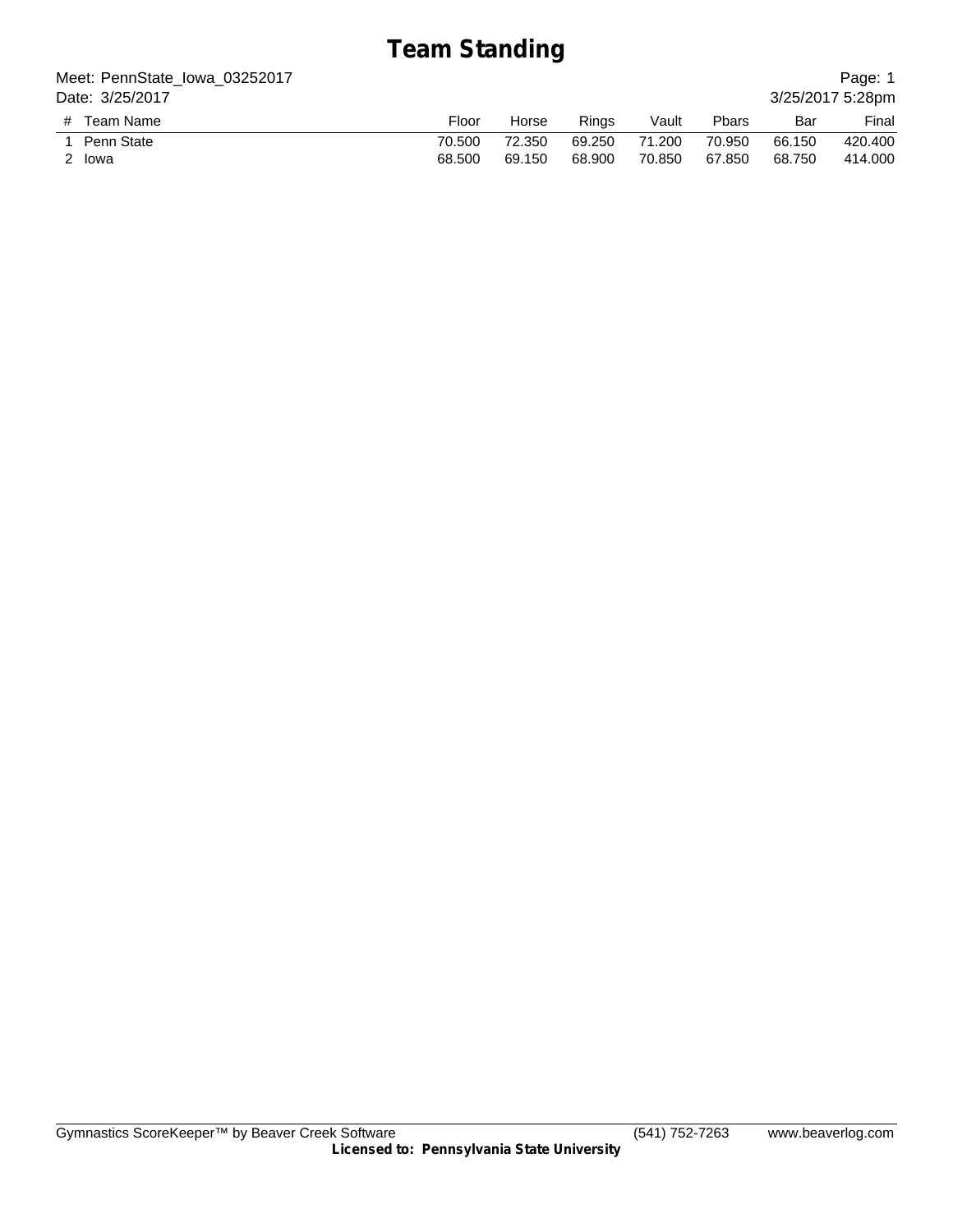# **Team Standing**

| Meet: PennState_lowa_03252017 |        |        |        |        |        |        | Page: 1          |
|-------------------------------|--------|--------|--------|--------|--------|--------|------------------|
| Date: 3/25/2017               |        |        |        |        |        |        | 3/25/2017 5:28pm |
| # Team Name                   | Floor  | Horse  | Rinas  | Vault  | Pbars  | Bar    | Final            |
| Penn State                    | 70.500 | 72.350 | 69.250 | 71.200 | 70.950 | 66.150 | 420,400          |
| 2 Iowa                        | 68,500 | 69.150 | 68.900 | 70.850 | 67.850 | 68.750 | 414.000          |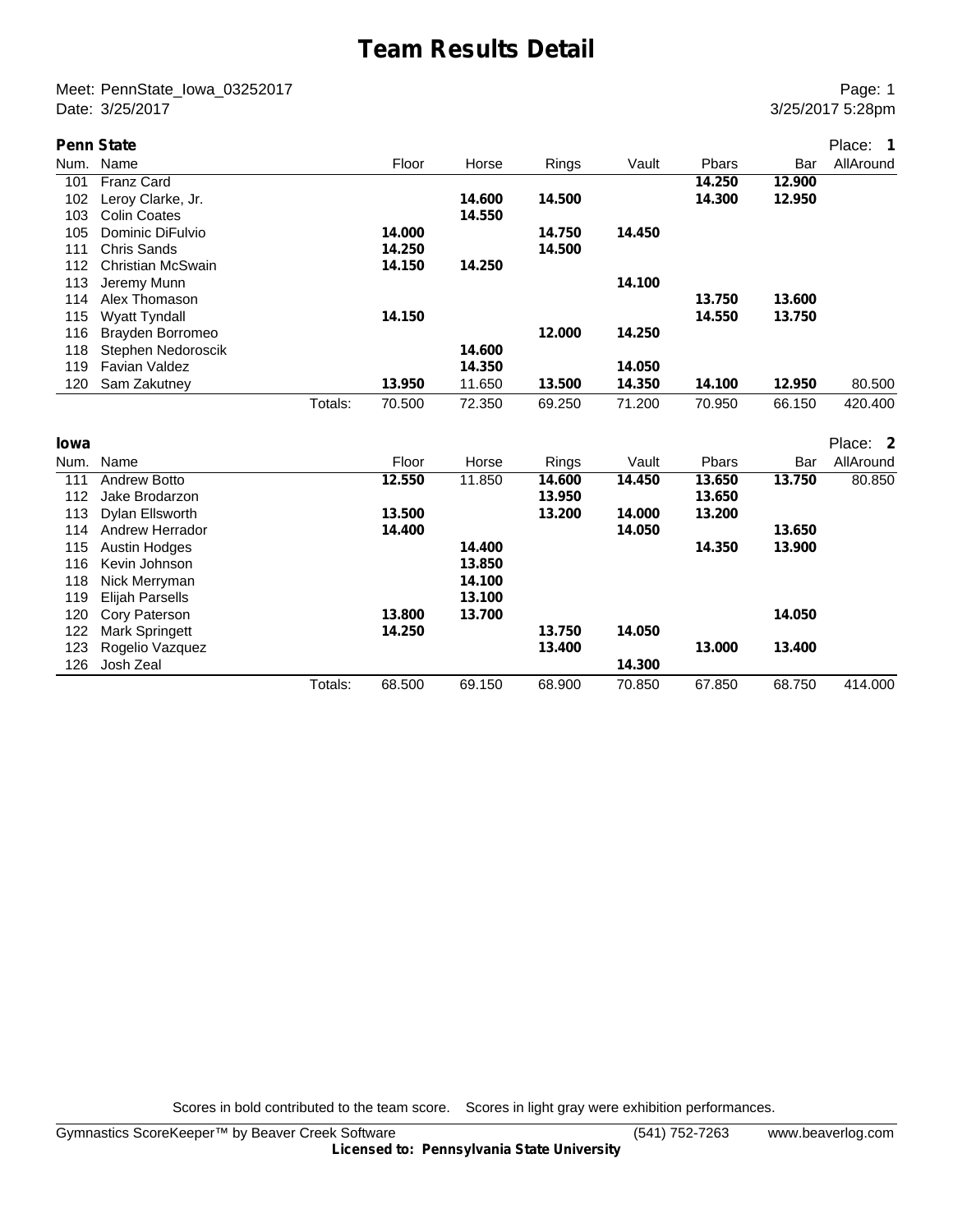## **Team Results Detail**

Meet: PennState\_Iowa\_03252017 Page: 1 Date: 3/25/2017 3:28pm

|      | <b>Penn State</b>        |         |        |        |        |        |        |        | Place: 1  |
|------|--------------------------|---------|--------|--------|--------|--------|--------|--------|-----------|
| Num. | Name                     |         | Floor  | Horse  | Rings  | Vault  | Pbars  | Bar    | AllAround |
| 101  | <b>Franz Card</b>        |         |        |        |        |        | 14.250 | 12,900 |           |
| 102  | Leroy Clarke, Jr.        |         |        | 14.600 | 14.500 |        | 14.300 | 12.950 |           |
| 103  | <b>Colin Coates</b>      |         |        | 14.550 |        |        |        |        |           |
| 105  | Dominic DiFulvio         |         | 14.000 |        | 14.750 | 14.450 |        |        |           |
| 111  | <b>Chris Sands</b>       |         | 14.250 |        | 14.500 |        |        |        |           |
| 112  | <b>Christian McSwain</b> |         | 14.150 | 14.250 |        |        |        |        |           |
| 113  | Jeremy Munn              |         |        |        |        | 14.100 |        |        |           |
| 114  | Alex Thomason            |         |        |        |        |        | 13.750 | 13.600 |           |
| 115  | <b>Wyatt Tyndall</b>     |         | 14.150 |        |        |        | 14.550 | 13.750 |           |
| 116  | Brayden Borromeo         |         |        |        | 12.000 | 14.250 |        |        |           |
| 118  | Stephen Nedoroscik       |         |        | 14.600 |        |        |        |        |           |
| 119  | <b>Favian Valdez</b>     |         |        | 14.350 |        | 14.050 |        |        |           |
| 120  | Sam Zakutney             |         | 13.950 | 11.650 | 13.500 | 14.350 | 14.100 | 12.950 | 80.500    |
|      |                          | Totals: | 70.500 | 72.350 | 69.250 | 71.200 | 70.950 | 66.150 | 420.400   |
| lowa |                          |         |        |        |        |        |        |        | Place: 2  |
| Num. | Name                     |         | Floor  | Horse  | Rings  | Vault  | Pbars  | Bar    | AllAround |
| 111  | <b>Andrew Botto</b>      |         | 12.550 | 11.850 | 14.600 | 14.450 | 13.650 | 13.750 | 80.850    |
| 112  | Jake Brodarzon           |         |        |        | 13.950 |        | 13.650 |        |           |
| 113  | Dylan Ellsworth          |         | 13.500 |        | 13.200 | 14.000 | 13.200 |        |           |
| 114  | Andrew Herrador          |         | 14.400 |        |        | 14.050 |        | 13.650 |           |
| 115  | <b>Austin Hodges</b>     |         |        | 14.400 |        |        | 14.350 | 13.900 |           |
| 116  | Kevin Johnson            |         |        | 13.850 |        |        |        |        |           |
| 118  | Nick Merryman            |         |        | 14.100 |        |        |        |        |           |
| 119  | <b>Elijah Parsells</b>   |         |        | 13.100 |        |        |        |        |           |
| 120  | Cory Paterson            |         | 13,800 | 13.700 |        |        |        | 14.050 |           |
| 122  | Mark Springett           |         | 14.250 |        | 13.750 | 14.050 |        |        |           |
| 123  | Rogelio Vazquez          |         |        |        | 13.400 |        | 13.000 | 13.400 |           |
| 126  | Josh Zeal                |         |        |        |        | 14.300 |        |        |           |

Totals: 68.500 69.150 68.900 70.850 67.850 68.750 414.000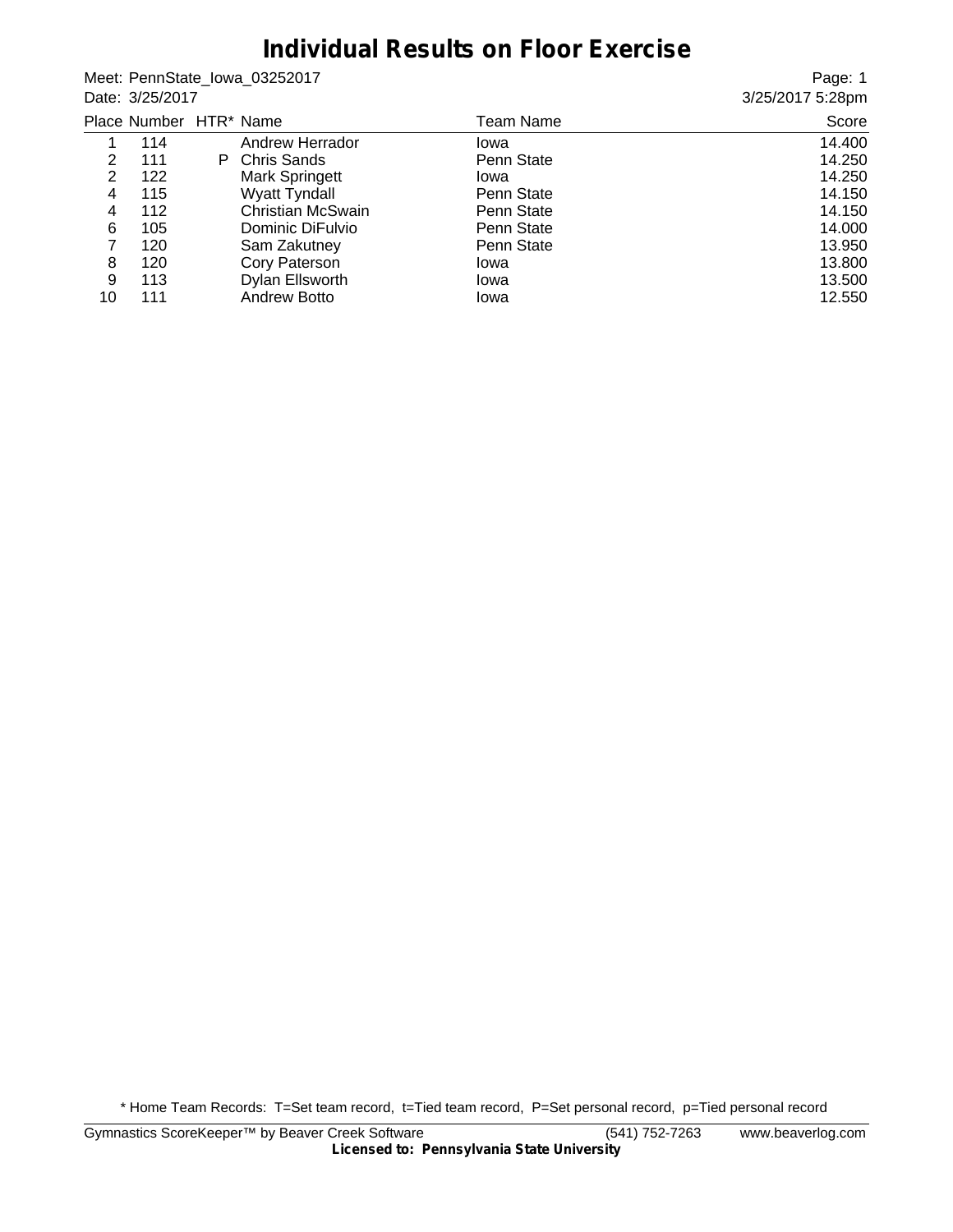## **Individual Results on Floor Exercise**

Meet: PennState\_Iowa\_03252017 Date: 3/25/2017

Page: 1 3/25/2017 5:28pm

|    | Place Number HTR* Name |                          | Team Name  | Score  |
|----|------------------------|--------------------------|------------|--------|
|    | 114                    | Andrew Herrador          | Iowa       | 14.400 |
| 2  | 111                    | P Chris Sands            | Penn State | 14.250 |
| 2  | 122                    | <b>Mark Springett</b>    | lowa       | 14.250 |
| 4  | 115                    | <b>Wyatt Tyndall</b>     | Penn State | 14.150 |
| 4  | 112                    | <b>Christian McSwain</b> | Penn State | 14.150 |
| 6  | 105                    | Dominic DiFulvio         | Penn State | 14.000 |
| 7  | 120                    | Sam Zakutney             | Penn State | 13.950 |
| 8  | 120                    | Cory Paterson            | Iowa       | 13.800 |
| 9  | 113                    | Dylan Ellsworth          | Iowa       | 13.500 |
| 10 | 111                    | <b>Andrew Botto</b>      | Iowa       | 12.550 |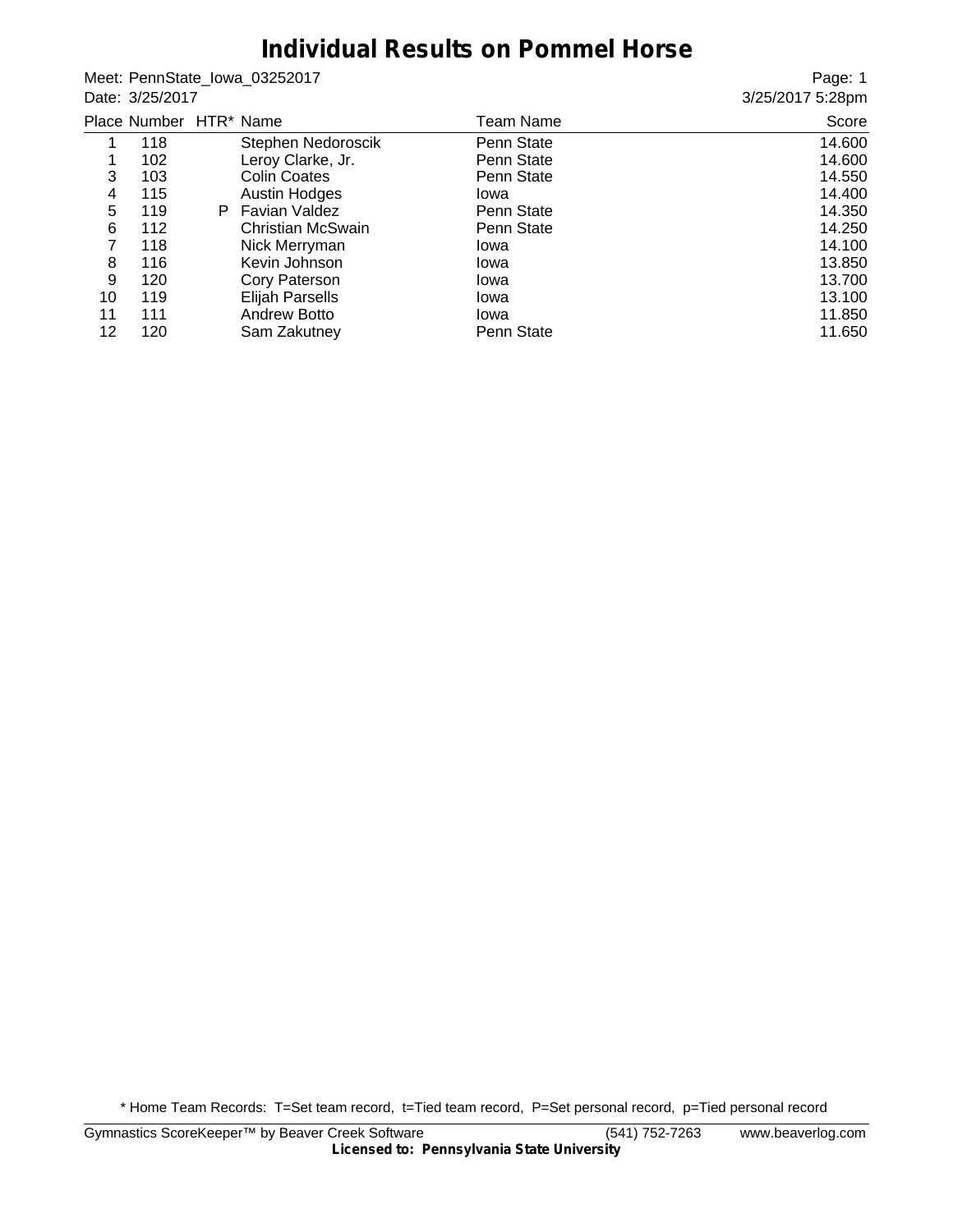## **Individual Results on Pommel Horse**

Meet: PennState\_Iowa\_03252017 Date: 3/25/2017

Page: 1 3/25/2017 5:28pm

|    | Place Number HTR* Name |    |                     | Team Name  | Score  |
|----|------------------------|----|---------------------|------------|--------|
|    | 118                    |    | Stephen Nedoroscik  | Penn State | 14.600 |
|    | 102                    |    | Leroy Clarke, Jr.   | Penn State | 14.600 |
| 3  | 103                    |    | <b>Colin Coates</b> | Penn State | 14.550 |
| 4  | 115                    |    | Austin Hodges       | Iowa       | 14.400 |
| 5  | 119                    | P. | Favian Valdez       | Penn State | 14.350 |
| 6  | 112                    |    | Christian McSwain   | Penn State | 14.250 |
| 7  | 118                    |    | Nick Merryman       | Iowa       | 14.100 |
| 8  | 116                    |    | Kevin Johnson       | Iowa       | 13.850 |
| 9  | 120                    |    | Cory Paterson       | Iowa       | 13.700 |
| 10 | 119                    |    | Elijah Parsells     | Iowa       | 13.100 |
| 11 | 111                    |    | <b>Andrew Botto</b> | Iowa       | 11.850 |
| 12 | 120                    |    | Sam Zakutney        | Penn State | 11.650 |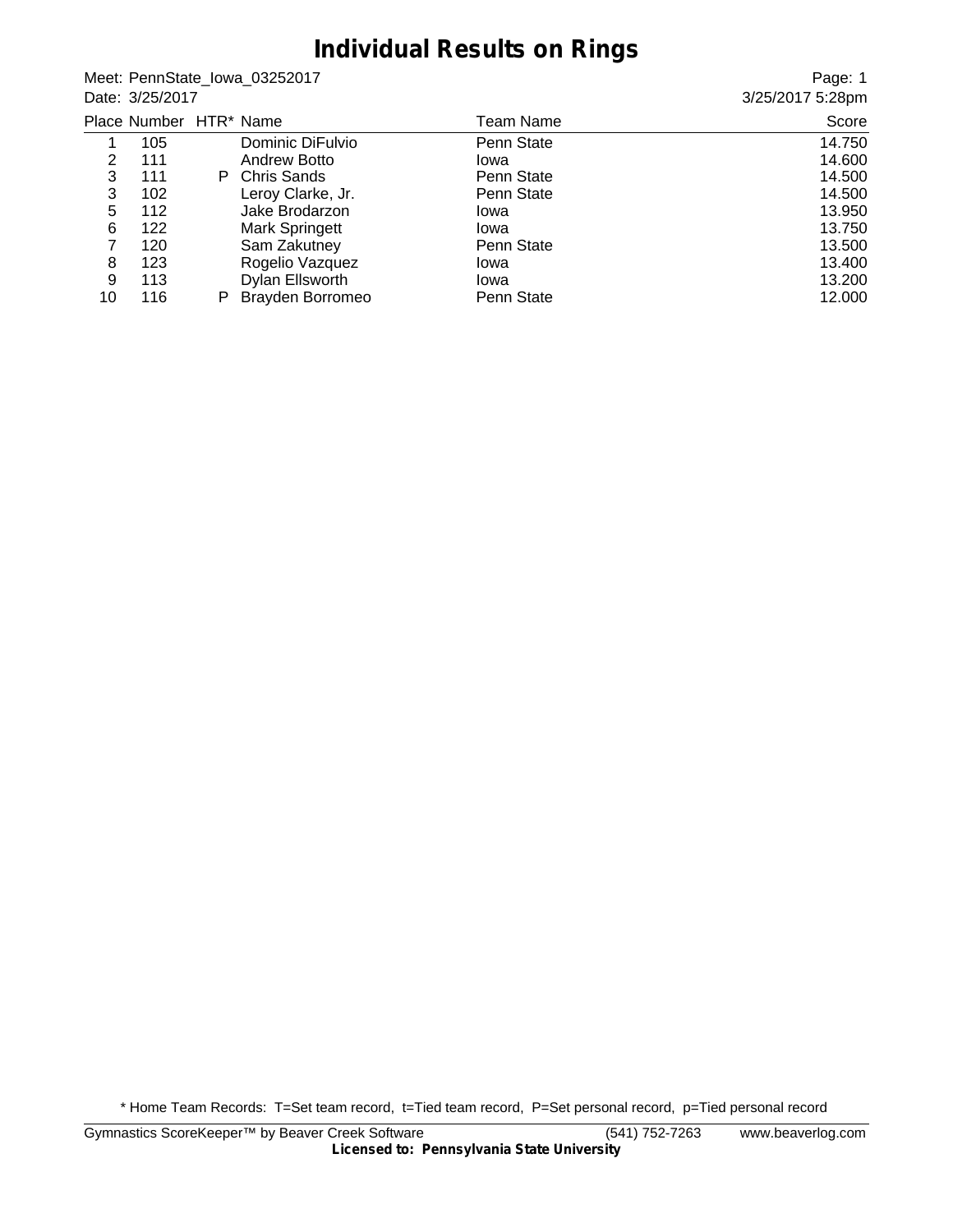#### **Individual Results on Rings**

Meet: PennState\_Iowa\_03252017 Date: 3/25/2017

Page: 1 3/25/2017 5:28pm

|    | Place Number HTR* Name |   |                         | Team Name  | Score  |
|----|------------------------|---|-------------------------|------------|--------|
|    | 105                    |   | Dominic DiFulvio        | Penn State | 14.750 |
| 2  | 111                    |   | <b>Andrew Botto</b>     | Iowa       | 14.600 |
| 3  | 111                    |   | P Chris Sands           | Penn State | 14.500 |
| 3  | 102                    |   | Leroy Clarke, Jr.       | Penn State | 14.500 |
| 5  | 112                    |   | Jake Brodarzon          | Iowa       | 13.950 |
| 6  | 122                    |   | <b>Mark Springett</b>   | Iowa       | 13.750 |
| 7  | 120                    |   | Sam Zakutney            | Penn State | 13.500 |
| 8  | 123                    |   | Rogelio Vazquez         | Iowa       | 13.400 |
| 9  | 113                    |   | Dylan Ellsworth         | Iowa       | 13.200 |
| 10 | 116                    | P | <b>Brayden Borromeo</b> | Penn State | 12.000 |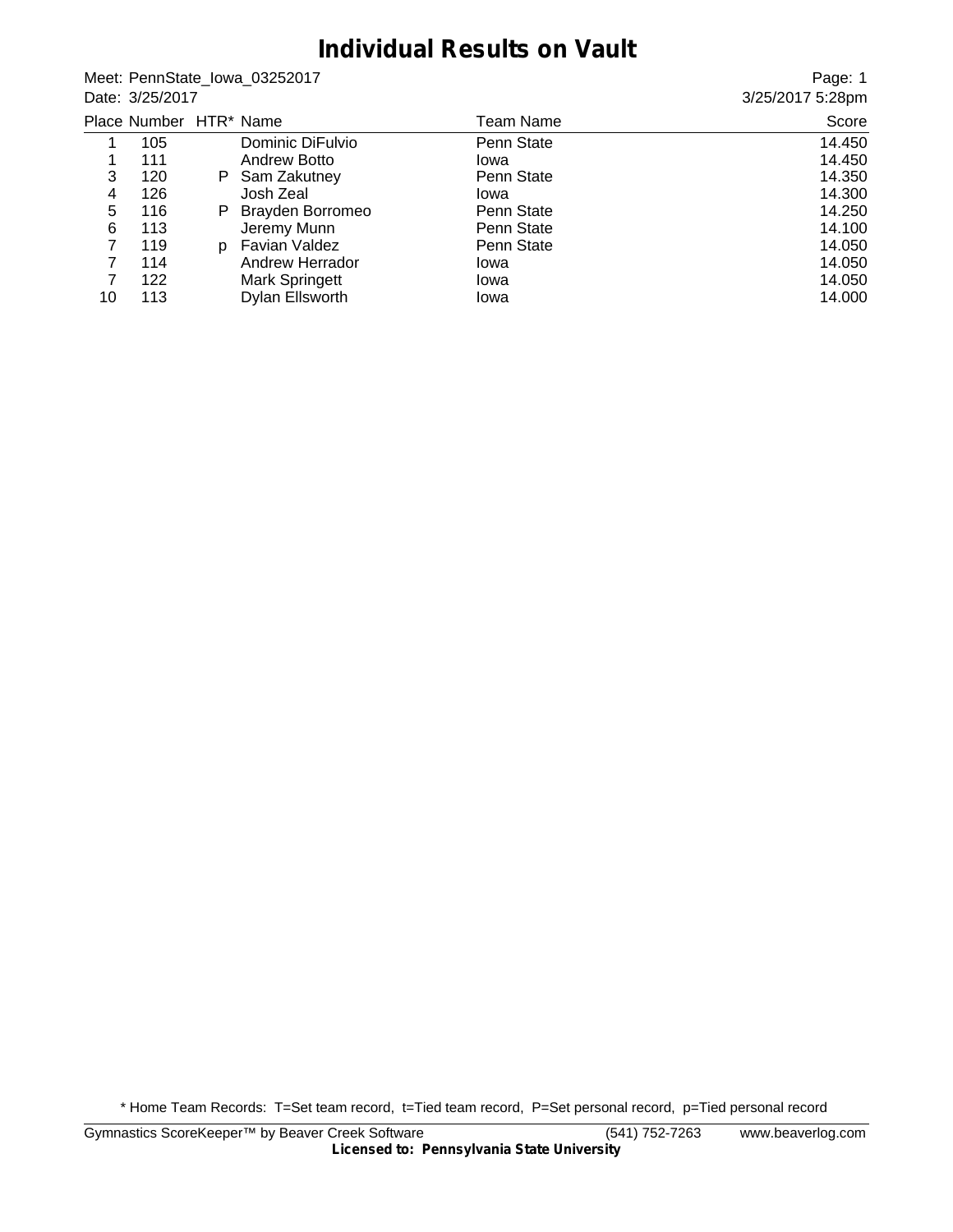#### **Individual Results on Vault**

Meet: PennState\_Iowa\_03252017 Date: 3/25/2017

Page: 1 3/25/2017 5:28pm

|    | Place Number HTR* Name |    |                         | Team Name  | Score  |
|----|------------------------|----|-------------------------|------------|--------|
|    | 105                    |    | Dominic DiFulvio        | Penn State | 14.450 |
|    | 111                    |    | Andrew Botto            | lowa       | 14.450 |
| 3  | 120                    | P. | Sam Zakutney            | Penn State | 14.350 |
| 4  | 126                    |    | Josh Zeal               | Iowa       | 14.300 |
| 5  | 116                    | P. | <b>Brayden Borromeo</b> | Penn State | 14.250 |
| 6  | 113                    |    | Jeremy Munn             | Penn State | 14.100 |
| 7  | 119                    | D. | Favian Valdez           | Penn State | 14.050 |
|    | 114                    |    | Andrew Herrador         | Iowa       | 14.050 |
|    | 122                    |    | <b>Mark Springett</b>   | Iowa       | 14.050 |
| 10 | 113                    |    | Dylan Ellsworth         | Iowa       | 14.000 |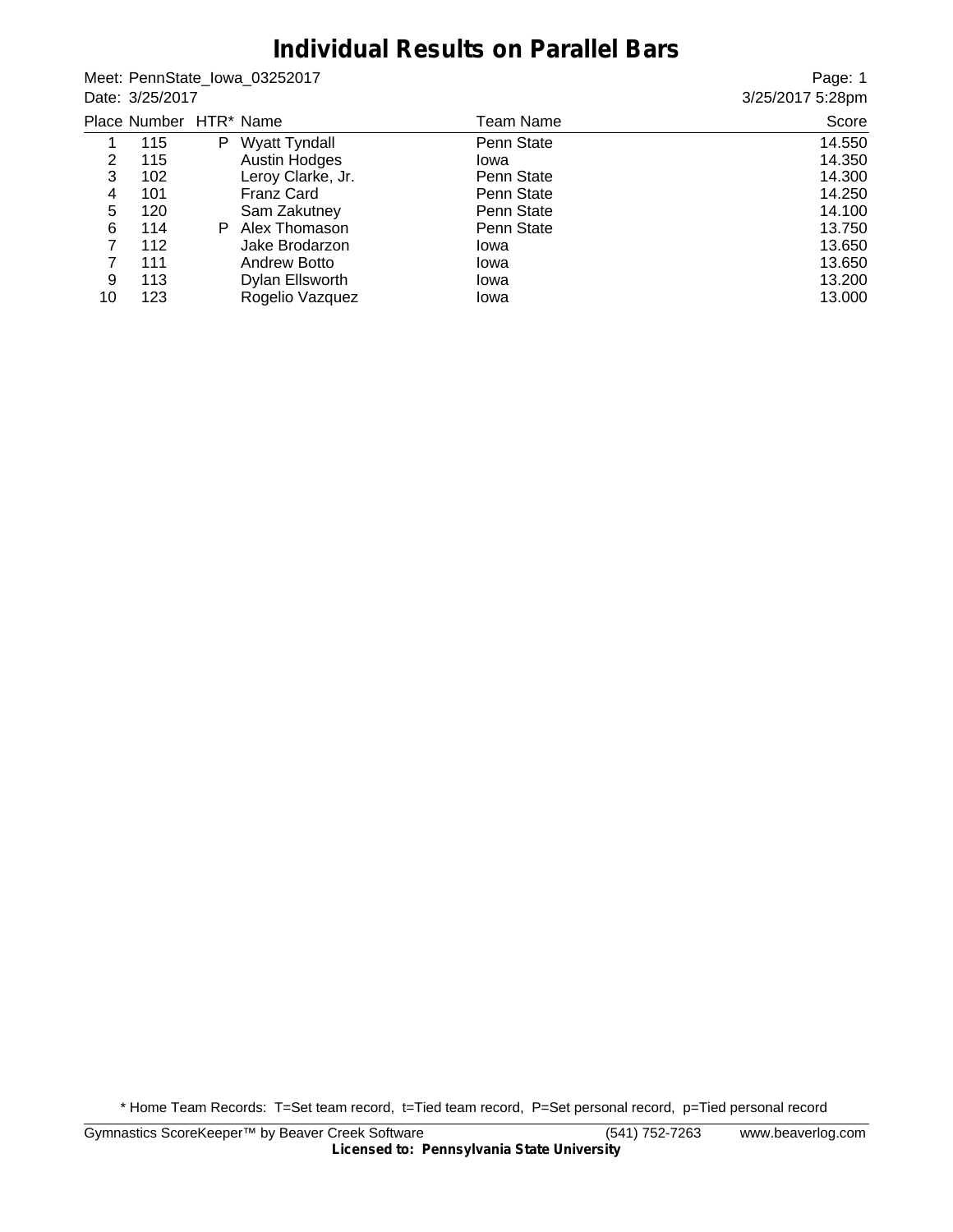#### **Individual Results on Parallel Bars**

Meet: PennState\_Iowa\_03252017 Date: 3/25/2017

Page: 1 3/25/2017 5:28pm

|    | Place Number HTR* Name |    |                      | Team Name  | Score  |
|----|------------------------|----|----------------------|------------|--------|
|    | 115                    | P  | <b>Wyatt Tyndall</b> | Penn State | 14.550 |
| 2  | 115                    |    | Austin Hodges        | lowa       | 14.350 |
| 3  | 102                    |    | Leroy Clarke, Jr.    | Penn State | 14.300 |
| 4  | 101                    |    | <b>Franz Card</b>    | Penn State | 14.250 |
| 5  | 120                    |    | Sam Zakutney         | Penn State | 14.100 |
| 6  | 114                    | P. | Alex Thomason        | Penn State | 13.750 |
| 7  | 112                    |    | Jake Brodarzon       | Iowa       | 13.650 |
|    | 111                    |    | Andrew Botto         | Iowa       | 13.650 |
| 9  | 113                    |    | Dylan Ellsworth      | Iowa       | 13.200 |
| 10 | 123                    |    | Rogelio Vazquez      | Iowa       | 13.000 |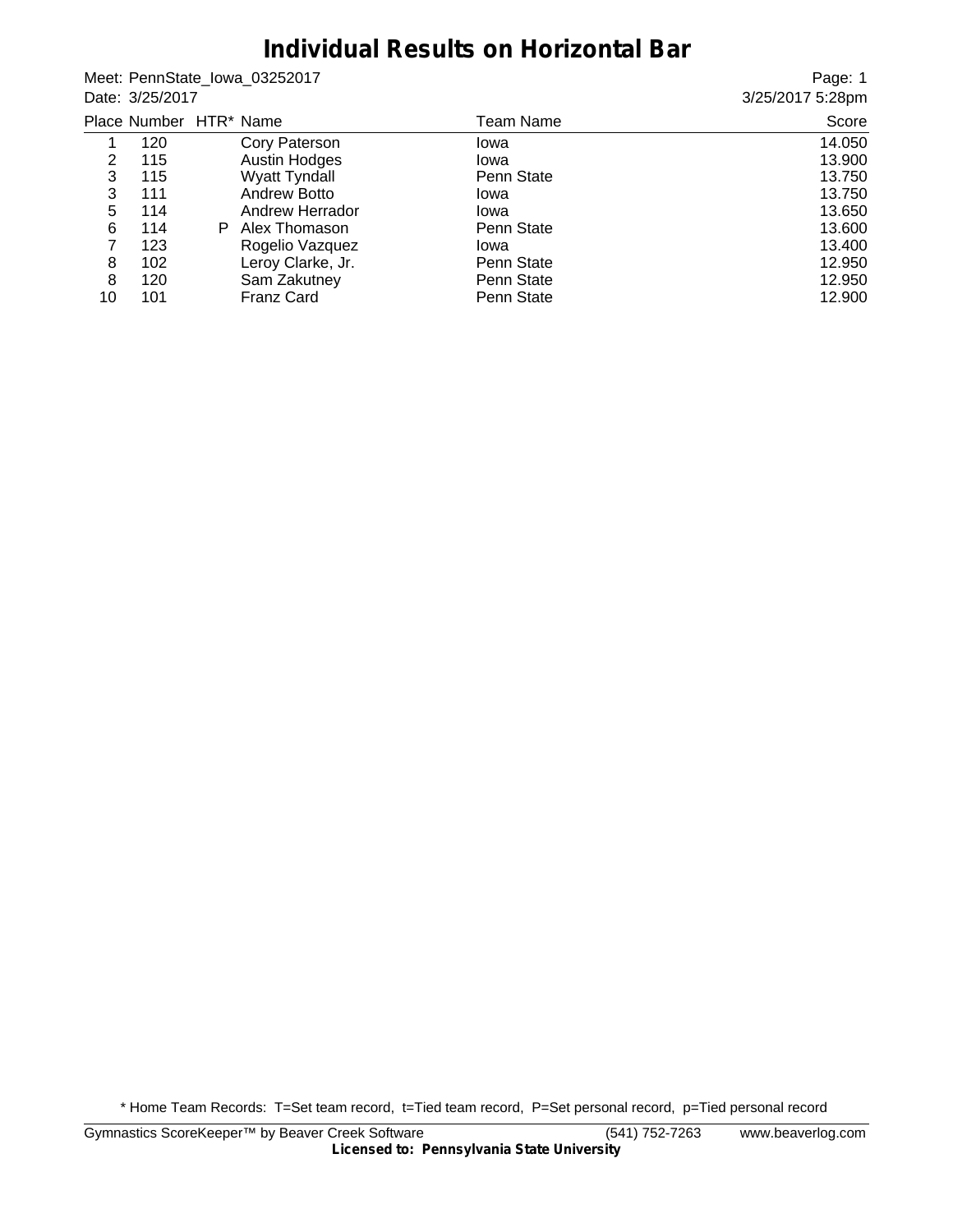## **Individual Results on Horizontal Bar**

Meet: PennState\_Iowa\_03252017 Date: 3/25/2017

Page: 1 3/25/2017 5:28pm

|    | Place Number HTR* Name |    |                      | Team Name  | Score  |
|----|------------------------|----|----------------------|------------|--------|
|    | 120                    |    | Cory Paterson        | Iowa       | 14.050 |
| 2  | 115                    |    | <b>Austin Hodges</b> | Iowa       | 13.900 |
| 3  | 115                    |    | <b>Wyatt Tyndall</b> | Penn State | 13.750 |
| 3  | 111                    |    | Andrew Botto         | Iowa       | 13.750 |
| 5  | 114                    |    | Andrew Herrador      | Iowa       | 13.650 |
| 6  | 114                    | P. | Alex Thomason        | Penn State | 13.600 |
| 7  | 123                    |    | Rogelio Vazquez      | Iowa       | 13.400 |
| 8  | 102                    |    | Leroy Clarke, Jr.    | Penn State | 12.950 |
| 8  | 120                    |    | Sam Zakutney         | Penn State | 12.950 |
| 10 | 101                    |    | <b>Franz Card</b>    | Penn State | 12.900 |
|    |                        |    |                      |            |        |